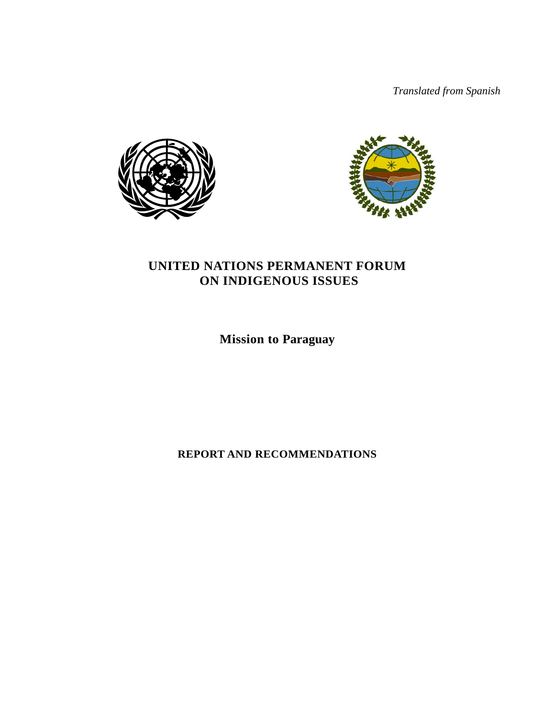*Translated from Spanish* 





# **UNITED NATIONS PERMANENT FORUM ON INDIGENOUS ISSUES**

**Mission to Paraguay**

**REPORT AND RECOMMENDATIONS**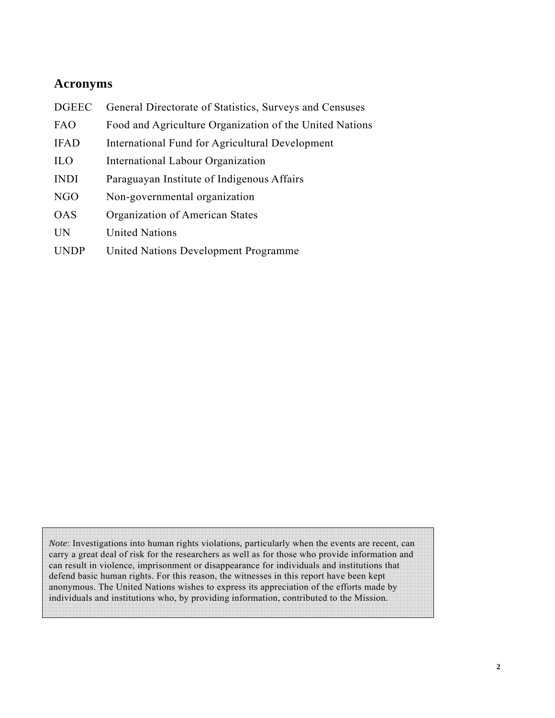# **Acronyms**

- DGEEC General Directorate of Statistics, Surveys and Censuses FAO Food and Agriculture Organization of the United Nations IFAD International Fund for Agricultural Development ILO International Labour Organization
- INDI Paraguayan Institute of Indigenous Affairs
- NGO Non-governmental organization
- OAS Organization of American States
- UN United Nations
- UNDP United Nations Development Programme

*Note*: Investigations into human rights violations, particularly when the events are recent, can carry a great deal of risk for the researchers as well as for those who provide information and can result in violence, imprisonment or disappearance for individuals and institutions that defend basic human rights. For this reason, the witnesses in this report have been kept anonymous. The United Nations wishes to express its appreciation of the efforts made by individuals and institutions who, by providing information, contributed to the Mission.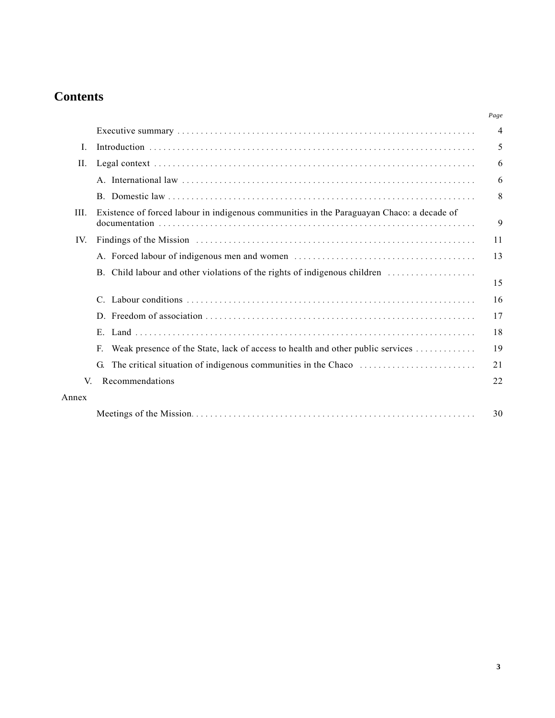# **Contents**

|          |                                                                                           | Page |
|----------|-------------------------------------------------------------------------------------------|------|
|          |                                                                                           | 4    |
| L        |                                                                                           | 5    |
| Н.       |                                                                                           | 6    |
|          |                                                                                           | 6    |
|          |                                                                                           | 8    |
| III.     | Existence of forced labour in indigenous communities in the Paraguayan Chaco: a decade of | 9    |
| $IV_{-}$ |                                                                                           | 11   |
|          |                                                                                           | 13   |
|          | B. Child labour and other violations of the rights of indigenous children                 | 15   |
|          |                                                                                           | 16   |
|          |                                                                                           | 17   |
|          |                                                                                           | 18   |
|          | Weak presence of the State, lack of access to health and other public services<br>E.      | 19   |
|          | The critical situation of indigenous communities in the Chaco<br>G.                       | 21   |
| V        | Recommendations                                                                           | 22   |
| Annex    |                                                                                           |      |
|          |                                                                                           | 30   |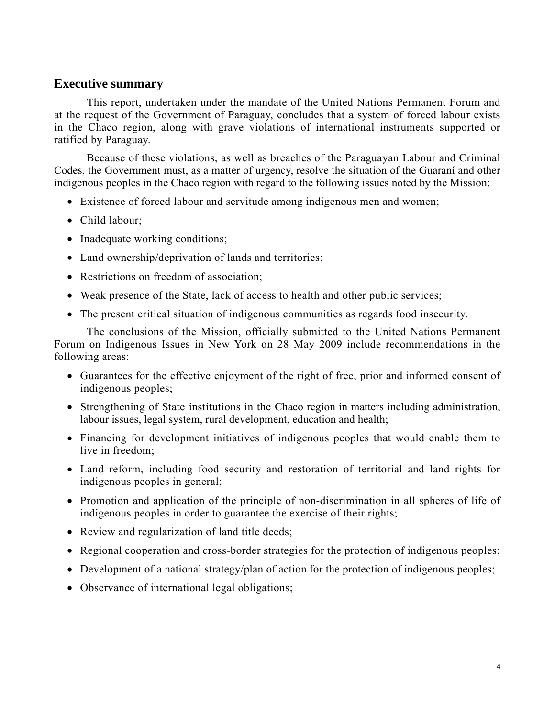# **Executive summary**

This report, undertaken under the mandate of the United Nations Permanent Forum and at the request of the Government of Paraguay, concludes that a system of forced labour exists in the Chaco region, along with grave violations of international instruments supported or ratified by Paraguay.

Because of these violations, as well as breaches of the Paraguayan Labour and Criminal Codes, the Government must, as a matter of urgency, resolve the situation of the Guaraní and other indigenous peoples in the Chaco region with regard to the following issues noted by the Mission:

- Existence of forced labour and servitude among indigenous men and women;
- Child labour;
- Inadequate working conditions;
- Land ownership/deprivation of lands and territories;
- Restrictions on freedom of association;
- Weak presence of the State, lack of access to health and other public services;
- The present critical situation of indigenous communities as regards food insecurity.

The conclusions of the Mission, officially submitted to the United Nations Permanent Forum on Indigenous Issues in New York on 28 May 2009 include recommendations in the following areas:

- Guarantees for the effective enjoyment of the right of free, prior and informed consent of indigenous peoples;
- Strengthening of State institutions in the Chaco region in matters including administration, labour issues, legal system, rural development, education and health;
- Financing for development initiatives of indigenous peoples that would enable them to live in freedom;
- Land reform, including food security and restoration of territorial and land rights for indigenous peoples in general;
- Promotion and application of the principle of non-discrimination in all spheres of life of indigenous peoples in order to guarantee the exercise of their rights;
- Review and regularization of land title deeds;
- Regional cooperation and cross-border strategies for the protection of indigenous peoples;
- Development of a national strategy/plan of action for the protection of indigenous peoples;
- Observance of international legal obligations;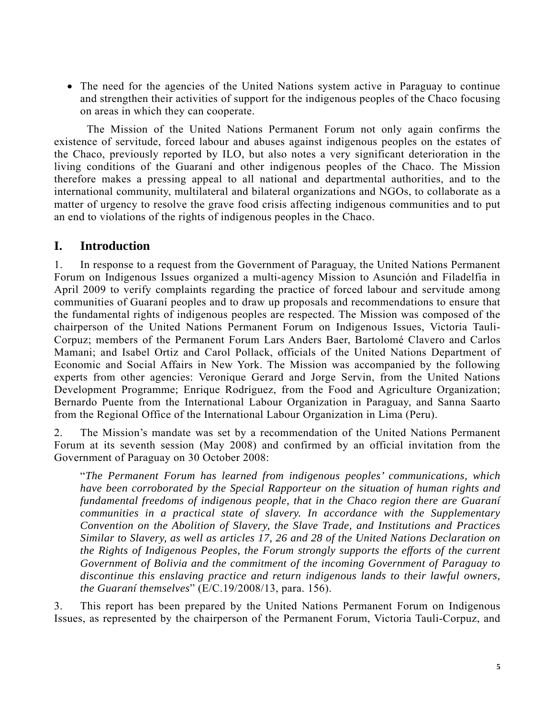• The need for the agencies of the United Nations system active in Paraguay to continue and strengthen their activities of support for the indigenous peoples of the Chaco focusing on areas in which they can cooperate.

The Mission of the United Nations Permanent Forum not only again confirms the existence of servitude, forced labour and abuses against indigenous peoples on the estates of the Chaco, previously reported by ILO, but also notes a very significant deterioration in the living conditions of the Guaraní and other indigenous peoples of the Chaco. The Mission therefore makes a pressing appeal to all national and departmental authorities, and to the international community, multilateral and bilateral organizations and NGOs, to collaborate as a matter of urgency to resolve the grave food crisis affecting indigenous communities and to put an end to violations of the rights of indigenous peoples in the Chaco.

# **I. Introduction**

1. In response to a request from the Government of Paraguay, the United Nations Permanent Forum on Indigenous Issues organized a multi-agency Mission to Asunción and Filadelfia in April 2009 to verify complaints regarding the practice of forced labour and servitude among communities of Guaraní peoples and to draw up proposals and recommendations to ensure that the fundamental rights of indigenous peoples are respected. The Mission was composed of the chairperson of the United Nations Permanent Forum on Indigenous Issues, Victoria Tauli-Corpuz; members of the Permanent Forum Lars Anders Baer, Bartolomé Clavero and Carlos Mamani; and Isabel Ortiz and Carol Pollack, officials of the United Nations Department of Economic and Social Affairs in New York. The Mission was accompanied by the following experts from other agencies: Veronique Gerard and Jorge Servin, from the United Nations Development Programme; Enrique Rodríguez, from the Food and Agriculture Organization; Bernardo Puente from the International Labour Organization in Paraguay, and Sanna Saarto from the Regional Office of the International Labour Organization in Lima (Peru).

2. The Mission's mandate was set by a recommendation of the United Nations Permanent Forum at its seventh session (May 2008) and confirmed by an official invitation from the Government of Paraguay on 30 October 2008:

"*The Permanent Forum has learned from indigenous peoples' communications, which have been corroborated by the Special Rapporteur on the situation of human rights and fundamental freedoms of indigenous people, that in the Chaco region there are Guaraní communities in a practical state of slavery. In accordance with the Supplementary Convention on the Abolition of Slavery, the Slave Trade, and Institutions and Practices Similar to Slavery, as well as articles 17, 26 and 28 of the United Nations Declaration on the Rights of Indigenous Peoples, the Forum strongly supports the efforts of the current Government of Bolivia and the commitment of the incoming Government of Paraguay to discontinue this enslaving practice and return indigenous lands to their lawful owners, the Guaraní themselves*" (E/C.19/2008/13, para. 156).

3. This report has been prepared by the United Nations Permanent Forum on Indigenous Issues, as represented by the chairperson of the Permanent Forum, Victoria Tauli-Corpuz, and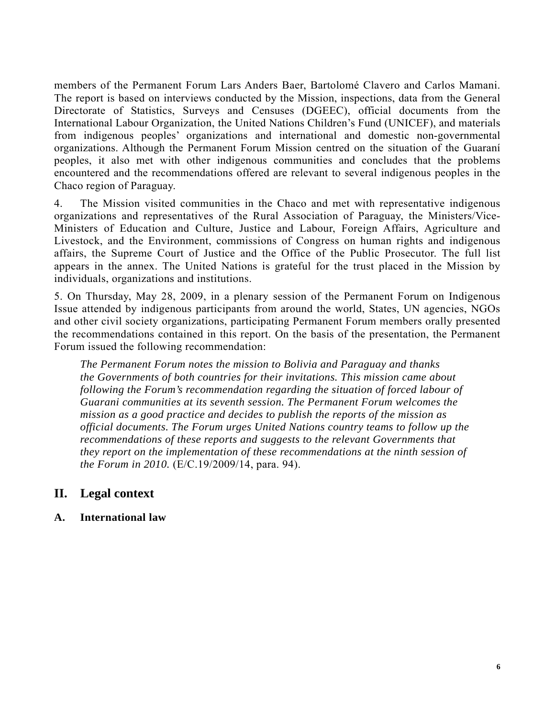members of the Permanent Forum Lars Anders Baer, Bartolomé Clavero and Carlos Mamani. The report is based on interviews conducted by the Mission, inspections, data from the General Directorate of Statistics, Surveys and Censuses (DGEEC), official documents from the International Labour Organization, the United Nations Children's Fund (UNICEF), and materials from indigenous peoples' organizations and international and domestic non-governmental organizations. Although the Permanent Forum Mission centred on the situation of the Guaraní peoples, it also met with other indigenous communities and concludes that the problems encountered and the recommendations offered are relevant to several indigenous peoples in the Chaco region of Paraguay.

4. The Mission visited communities in the Chaco and met with representative indigenous organizations and representatives of the Rural Association of Paraguay, the Ministers/Vice-Ministers of Education and Culture, Justice and Labour, Foreign Affairs, Agriculture and Livestock, and the Environment, commissions of Congress on human rights and indigenous affairs, the Supreme Court of Justice and the Office of the Public Prosecutor. The full list appears in the annex. The United Nations is grateful for the trust placed in the Mission by individuals, organizations and institutions.

5. On Thursday, May 28, 2009, in a plenary session of the Permanent Forum on Indigenous Issue attended by indigenous participants from around the world, States, UN agencies, NGOs and other civil society organizations, participating Permanent Forum members orally presented the recommendations contained in this report. On the basis of the presentation, the Permanent Forum issued the following recommendation:

*The Permanent Forum notes the mission to Bolivia and Paraguay and thanks the Governments of both countries for their invitations. This mission came about following the Forum's recommendation regarding the situation of forced labour of Guarani communities at its seventh session. The Permanent Forum welcomes the mission as a good practice and decides to publish the reports of the mission as official documents. The Forum urges United Nations country teams to follow up the recommendations of these reports and suggests to the relevant Governments that they report on the implementation of these recommendations at the ninth session of the Forum in 2010.* (E/C.19/2009/14, para. 94).

# **II. Legal context**

# **A. International law**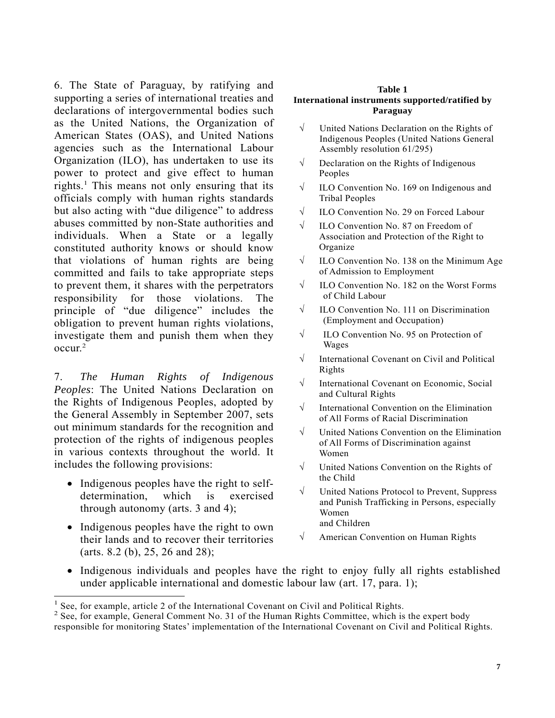6. The State of Paraguay, by ratifying and supporting a series of international treaties and declarations of intergovernmental bodies such as the United Nations, the Organization of American States (OAS), and United Nations agencies such as the International Labour Organization (ILO), has undertaken to use its power to protect and give effect to human rights.<sup>1</sup> This means not only ensuring that its officials comply with human rights standards but also acting with "due diligence" to address abuses committed by non-State authorities and individuals. When a State or a legally constituted authority knows or should know that violations of human rights are being committed and fails to take appropriate steps to prevent them, it shares with the perpetrators responsibility for those violations. The principle of "due diligence" includes the obligation to prevent human rights violations, investigate them and punish them when they  $\alpha$ ccur $^2$ 

7. *The Human Rights of Indigenous Peoples*: The United Nations Declaration on the Rights of Indigenous Peoples, adopted by the General Assembly in September 2007, sets out minimum standards for the recognition and protection of the rights of indigenous peoples in various contexts throughout the world. It includes the following provisions:

- Indigenous peoples have the right to selfdetermination, which is exercised through autonomy (arts. 3 and 4);
- Indigenous peoples have the right to own their lands and to recover their territories (arts. 8.2 (b), 25, 26 and 28);

 $\overline{a}$ 

#### **Table 1 International instruments supported/ratified by Paraguay**

- √ United Nations Declaration on the Rights of Indigenous Peoples (United Nations General Assembly resolution 61/295)
- $\sqrt{\phantom{a}}$  Declaration on the Rights of Indigenous Peoples
- √ ILO Convention No. 169 on Indigenous and Tribal Peoples
- √ ILO Convention No. 29 on Forced Labour
- √ ILO Convention No. 87 on Freedom of Association and Protection of the Right to Organize
- $\sqrt{\phantom{a}}$  ILO Convention No. 138 on the Minimum Age of Admission to Employment
- $\sqrt{\phantom{a}}$  ILO Convention No. 182 on the Worst Forms of Child Labour
- √ ILO Convention No. 111 on Discrimination (Employment and Occupation)
- √ ILO Convention No. 95 on Protection of Wages
- √ International Covenant on Civil and Political Rights
- √ International Covenant on Economic, Social and Cultural Rights
- √ International Convention on the Elimination of All Forms of Racial Discrimination
- √ United Nations Convention on the Elimination of All Forms of Discrimination against Women
- √ United Nations Convention on the Rights of the Child
- √ United Nations Protocol to Prevent, Suppress and Punish Trafficking in Persons, especially Women and Children
- √ American Convention on Human Rights
- Indigenous individuals and peoples have the right to enjoy fully all rights established under applicable international and domestic labour law (art. 17, para. 1);

<sup>&</sup>lt;sup>1</sup> See, for example, article 2 of the International Covenant on Civil and Political Rights.

<sup>&</sup>lt;sup>2</sup> See, for example, General Comment No. 31 of the Human Rights Committee, which is the expert body

responsible for monitoring States' implementation of the International Covenant on Civil and Political Rights.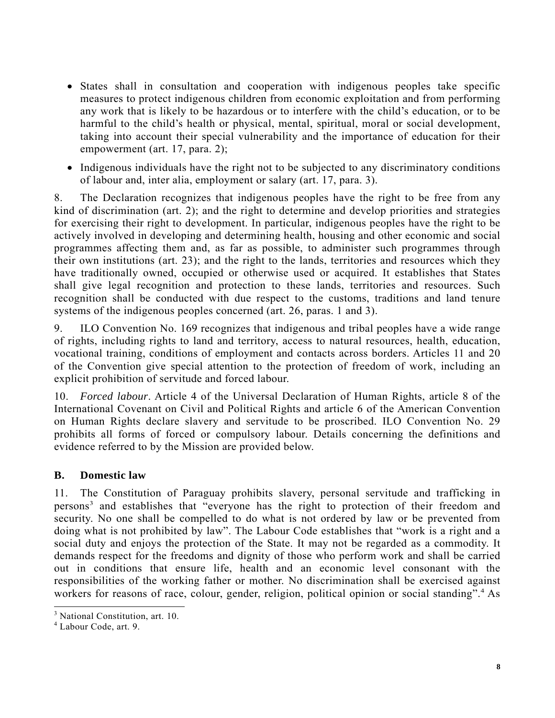- States shall in consultation and cooperation with indigenous peoples take specific measures to protect indigenous children from economic exploitation and from performing any work that is likely to be hazardous or to interfere with the child's education, or to be harmful to the child's health or physical, mental, spiritual, moral or social development, taking into account their special vulnerability and the importance of education for their empowerment (art. 17, para. 2);
- Indigenous individuals have the right not to be subjected to any discriminatory conditions of labour and, inter alia, employment or salary (art. 17, para. 3).

8. The Declaration recognizes that indigenous peoples have the right to be free from any kind of discrimination (art. 2); and the right to determine and develop priorities and strategies for exercising their right to development. In particular, indigenous peoples have the right to be actively involved in developing and determining health, housing and other economic and social programmes affecting them and, as far as possible, to administer such programmes through their own institutions (art. 23); and the right to the lands, territories and resources which they have traditionally owned, occupied or otherwise used or acquired. It establishes that States shall give legal recognition and protection to these lands, territories and resources. Such recognition shall be conducted with due respect to the customs, traditions and land tenure systems of the indigenous peoples concerned (art. 26, paras. 1 and 3).

9. ILO Convention No. 169 recognizes that indigenous and tribal peoples have a wide range of rights, including rights to land and territory, access to natural resources, health, education, vocational training, conditions of employment and contacts across borders. Articles 11 and 20 of the Convention give special attention to the protection of freedom of work, including an explicit prohibition of servitude and forced labour.

10. *Forced labour*. Article 4 of the Universal Declaration of Human Rights, article 8 of the International Covenant on Civil and Political Rights and article 6 of the American Convention on Human Rights declare slavery and servitude to be proscribed. ILO Convention No. 29 prohibits all forms of forced or compulsory labour. Details concerning the definitions and evidence referred to by the Mission are provided below.

# **B. Domestic law**

11. The Constitution of Paraguay prohibits slavery, personal servitude and trafficking in persons<sup>3</sup> and establishes that "everyone has the right to protection of their freedom and security. No one shall be compelled to do what is not ordered by law or be prevented from doing what is not prohibited by law". The Labour Code establishes that "work is a right and a social duty and enjoys the protection of the State. It may not be regarded as a commodity. It demands respect for the freedoms and dignity of those who perform work and shall be carried out in conditions that ensure life, health and an economic level consonant with the responsibilities of the working father or mother. No discrimination shall be exercised against workers for reasons of race, colour, gender, religion, political opinion or social standing".<sup>4</sup> As

 $\overline{a}$ 

<sup>&</sup>lt;sup>3</sup> National Constitution, art. 10.

<sup>4</sup> Labour Code, art. 9.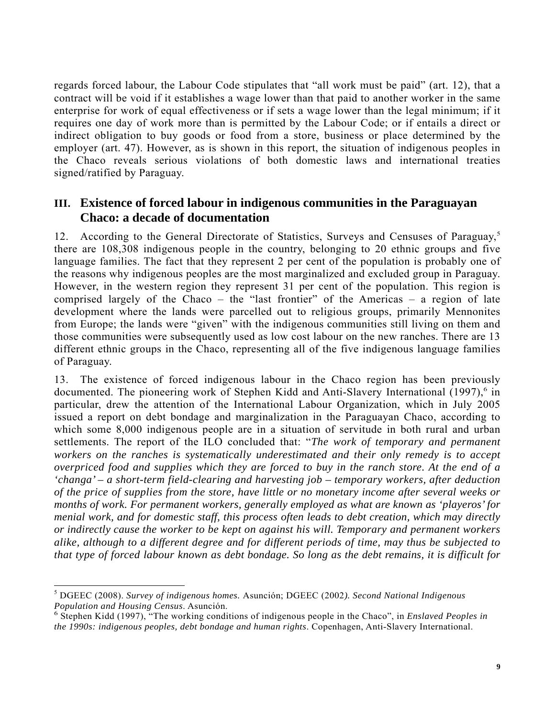regards forced labour, the Labour Code stipulates that "all work must be paid" (art. 12), that a contract will be void if it establishes a wage lower than that paid to another worker in the same enterprise for work of equal effectiveness or if sets a wage lower than the legal minimum; if it requires one day of work more than is permitted by the Labour Code; or if entails a direct or indirect obligation to buy goods or food from a store, business or place determined by the employer (art. 47). However, as is shown in this report, the situation of indigenous peoples in the Chaco reveals serious violations of both domestic laws and international treaties signed/ratified by Paraguay.

# **III. Existence of forced labour in indigenous communities in the Paraguayan Chaco: a decade of documentation**

12. According to the General Directorate of Statistics, Surveys and Censuses of Paraguay,<sup>5</sup> there are 108,308 indigenous people in the country, belonging to 20 ethnic groups and five language families. The fact that they represent 2 per cent of the population is probably one of the reasons why indigenous peoples are the most marginalized and excluded group in Paraguay. However, in the western region they represent 31 per cent of the population. This region is comprised largely of the Chaco – the "last frontier" of the Americas – a region of late development where the lands were parcelled out to religious groups, primarily Mennonites from Europe; the lands were "given" with the indigenous communities still living on them and those communities were subsequently used as low cost labour on the new ranches. There are 13 different ethnic groups in the Chaco, representing all of the five indigenous language families of Paraguay.

13. The existence of forced indigenous labour in the Chaco region has been previously documented. The pioneering work of Stephen Kidd and Anti-Slavery International (1997),<sup>6</sup> in particular, drew the attention of the International Labour Organization, which in July 2005 issued a report on debt bondage and marginalization in the Paraguayan Chaco, according to which some 8,000 indigenous people are in a situation of servitude in both rural and urban settlements. The report of the ILO concluded that: "*The work of temporary and permanent workers on the ranches is systematically underestimated and their only remedy is to accept overpriced food and supplies which they are forced to buy in the ranch store. At the end of a 'changa' – a short-term field-clearing and harvesting job – temporary workers, after deduction of the price of supplies from the store, have little or no monetary income after several weeks or months of work. For permanent workers, generally employed as what are known as 'playeros' for menial work, and for domestic staff, this process often leads to debt creation, which may directly or indirectly cause the worker to be kept on against his will. Temporary and permanent workers alike, although to a different degree and for different periods of time, may thus be subjected to that type of forced labour known as debt bondage. So long as the debt remains, it is difficult for* 

l

<sup>5</sup> DGEEC (2008). *Survey of indigenous homes.* Asunción; DGEEC (2002*). Second National Indigenous Population and Housing Census. Asunción.* 

Stephen Kidd (1997), "The working conditions of indigenous people in the Chaco", in *Enslaved Peoples in the 1990s: indigenous peoples, debt bondage and human rights*. Copenhagen, Anti-Slavery International.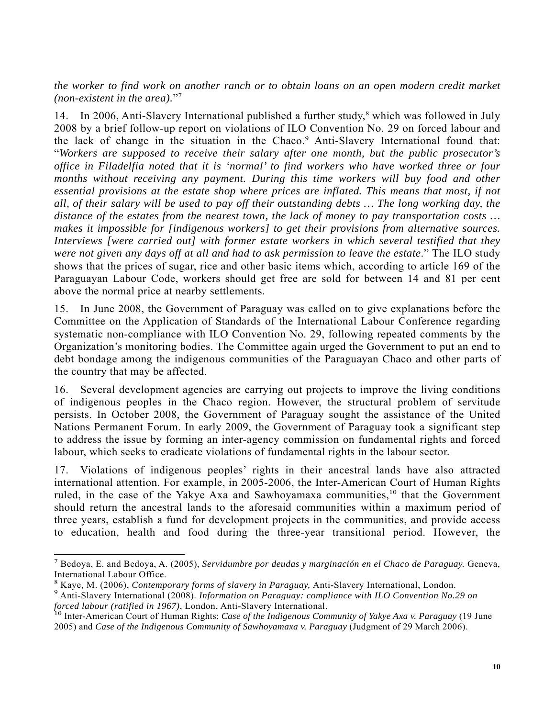*the worker to find work on another ranch or to obtain loans on an open modern credit market (non-existent in the area).*"<sup>7</sup>

14. In 2006, Anti-Slavery International published a further study,<sup>8</sup> which was followed in July 2008 by a brief follow-up report on violations of ILO Convention No. 29 on forced labour and the lack of change in the situation in the Chaco.<sup>9</sup> Anti-Slavery International found that: "*Workers are supposed to receive their salary after one month, but the public prosecutor's office in Filadelfia noted that it is 'normal' to find workers who have worked three or four months without receiving any payment. During this time workers will buy food and other essential provisions at the estate shop where prices are inflated. This means that most, if not all, of their salary will be used to pay off their outstanding debts … The long working day, the distance of the estates from the nearest town, the lack of money to pay transportation costs … makes it impossible for [indigenous workers] to get their provisions from alternative sources. Interviews [were carried out] with former estate workers in which several testified that they were not given any days off at all and had to ask permission to leave the estate*." The ILO study shows that the prices of sugar, rice and other basic items which, according to article 169 of the Paraguayan Labour Code, workers should get free are sold for between 14 and 81 per cent above the normal price at nearby settlements.

15. In June 2008, the Government of Paraguay was called on to give explanations before the Committee on the Application of Standards of the International Labour Conference regarding systematic non-compliance with ILO Convention No. 29, following repeated comments by the Organization's monitoring bodies. The Committee again urged the Government to put an end to debt bondage among the indigenous communities of the Paraguayan Chaco and other parts of the country that may be affected.

16. Several development agencies are carrying out projects to improve the living conditions of indigenous peoples in the Chaco region. However, the structural problem of servitude persists. In October 2008, the Government of Paraguay sought the assistance of the United Nations Permanent Forum. In early 2009, the Government of Paraguay took a significant step to address the issue by forming an inter-agency commission on fundamental rights and forced labour, which seeks to eradicate violations of fundamental rights in the labour sector.

17. Violations of indigenous peoples' rights in their ancestral lands have also attracted international attention. For example, in 2005-2006, the Inter-American Court of Human Rights ruled, in the case of the Yakye Axa and Sawhoyamaxa communities,<sup>10</sup> that the Government should return the ancestral lands to the aforesaid communities within a maximum period of three years, establish a fund for development projects in the communities, and provide access to education, health and food during the three-year transitional period. However, the

l

<sup>7</sup> Bedoya, E. and Bedoya, A. (2005), *Servidumbre por deudas y marginación en el Chaco de Paraguay.* Geneva, International Labour Office.

<sup>&</sup>lt;sup>8</sup> Kaye, M. (2006), *Contemporary forms of slavery in Paraguay*, Anti-Slavery International, London.<br><sup>9</sup> Anti-Slavery International (2008), *Information on Paraguay; compliance with H.O.Convention* No. 3

Anti-Slavery International (2008). *Information on Paraguay: compliance with ILO Convention No.29 on forced labour (ratified in 1967)*, London, Anti-Slavery International.<br><sup>10</sup> Inter-American Court of Human Rights: *Case of the Indigenous Community of Yakye Axa v. Paraguay* (19 June

<sup>2005)</sup> and *Case of the Indigenous Community of Sawhoyamaxa v. Paraguay* (Judgment of 29 March 2006).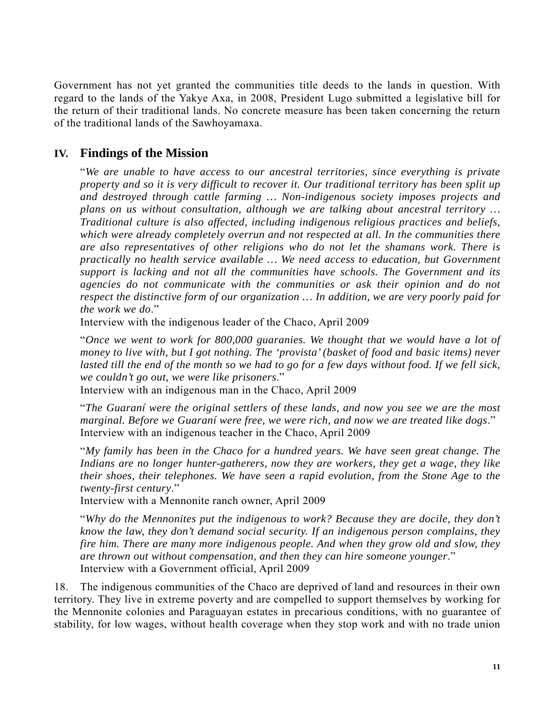Government has not yet granted the communities title deeds to the lands in question. With regard to the lands of the Yakye Axa, in 2008, President Lugo submitted a legislative bill for the return of their traditional lands. No concrete measure has been taken concerning the return of the traditional lands of the Sawhoyamaxa.

# **IV. Findings of the Mission**

"*We are unable to have access to our ancestral territories, since everything is private property and so it is very difficult to recover it. Our traditional territory has been split up and destroyed through cattle farming … Non-indigenous society imposes projects and plans on us without consultation, although we are talking about ancestral territory … Traditional culture is also affected, including indigenous religious practices and beliefs, which were already completely overrun and not respected at all. In the communities there are also representatives of other religions who do not let the shamans work. There is practically no health service available … We need access to education, but Government support is lacking and not all the communities have schools. The Government and its agencies do not communicate with the communities or ask their opinion and do not respect the distinctive form of our organization … In addition, we are very poorly paid for the work we do*."

Interview with the indigenous leader of the Chaco, April 2009

"*Once we went to work for 800,000 guaranies. We thought that we would have a lot of money to live with, but I got nothing. The 'provista' (basket of food and basic items) never*  lasted till the end of the month so we had to go for a few days without food. If we fell sick, *we couldn't go out, we were like prisoners*."

Interview with an indigenous man in the Chaco, April 2009

"*The Guaraní were the original settlers of these lands, and now you see we are the most marginal. Before we Guaraní were free, we were rich, and now we are treated like dogs*." Interview with an indigenous teacher in the Chaco, April 2009

"*My family has been in the Chaco for a hundred years. We have seen great change. The Indians are no longer hunter-gatherers, now they are workers, they get a wage, they like their shoes, their telephones. We have seen a rapid evolution, from the Stone Age to the twenty-first century*."

Interview with a Mennonite ranch owner, April 2009

"*Why do the Mennonites put the indigenous to work? Because they are docile, they don't know the law, they don't demand social security. If an indigenous person complains, they fire him. There are many more indigenous people. And when they grow old and slow, they are thrown out without compensation, and then they can hire someone younger*." Interview with a Government official, April 2009

18. The indigenous communities of the Chaco are deprived of land and resources in their own territory. They live in extreme poverty and are compelled to support themselves by working for the Mennonite colonies and Paraguayan estates in precarious conditions, with no guarantee of stability, for low wages, without health coverage when they stop work and with no trade union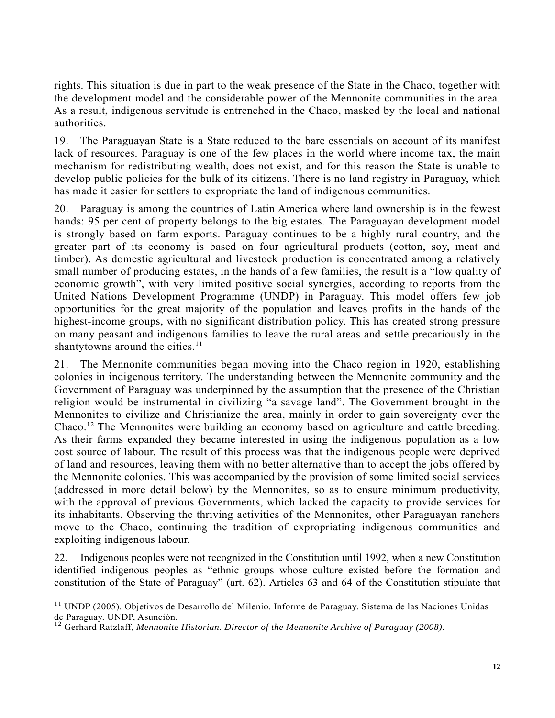rights. This situation is due in part to the weak presence of the State in the Chaco, together with the development model and the considerable power of the Mennonite communities in the area. As a result, indigenous servitude is entrenched in the Chaco, masked by the local and national authorities.

19. The Paraguayan State is a State reduced to the bare essentials on account of its manifest lack of resources. Paraguay is one of the few places in the world where income tax, the main mechanism for redistributing wealth, does not exist, and for this reason the State is unable to develop public policies for the bulk of its citizens. There is no land registry in Paraguay, which has made it easier for settlers to expropriate the land of indigenous communities.

20. Paraguay is among the countries of Latin America where land ownership is in the fewest hands: 95 per cent of property belongs to the big estates. The Paraguayan development model is strongly based on farm exports. Paraguay continues to be a highly rural country, and the greater part of its economy is based on four agricultural products (cotton, soy, meat and timber). As domestic agricultural and livestock production is concentrated among a relatively small number of producing estates, in the hands of a few families, the result is a "low quality of economic growth", with very limited positive social synergies, according to reports from the United Nations Development Programme (UNDP) in Paraguay. This model offers few job opportunities for the great majority of the population and leaves profits in the hands of the highest-income groups, with no significant distribution policy. This has created strong pressure on many peasant and indigenous families to leave the rural areas and settle precariously in the shantytowns around the cities. $11$ 

21. The Mennonite communities began moving into the Chaco region in 1920, establishing colonies in indigenous territory. The understanding between the Mennonite community and the Government of Paraguay was underpinned by the assumption that the presence of the Christian religion would be instrumental in civilizing "a savage land". The Government brought in the Mennonites to civilize and Christianize the area, mainly in order to gain sovereignty over the Chaco.12 The Mennonites were building an economy based on agriculture and cattle breeding. As their farms expanded they became interested in using the indigenous population as a low cost source of labour. The result of this process was that the indigenous people were deprived of land and resources, leaving them with no better alternative than to accept the jobs offered by the Mennonite colonies. This was accompanied by the provision of some limited social services (addressed in more detail below) by the Mennonites, so as to ensure minimum productivity, with the approval of previous Governments, which lacked the capacity to provide services for its inhabitants. Observing the thriving activities of the Mennonites, other Paraguayan ranchers move to the Chaco, continuing the tradition of expropriating indigenous communities and exploiting indigenous labour.

22. Indigenous peoples were not recognized in the Constitution until 1992, when a new Constitution identified indigenous peoples as "ethnic groups whose culture existed before the formation and constitution of the State of Paraguay" (art. 62). Articles 63 and 64 of the Constitution stipulate that

 $\overline{a}$ 

<sup>&</sup>lt;sup>11</sup> UNDP (2005). Objetivos de Desarrollo del Milenio. Informe de Paraguay. Sistema de las Naciones Unidas

de Paraguay. UNDP, Asunción.<br><sup>12</sup> Gerhard Ratzlaff, *Mennonite Historian. Director of the Mennonite Archive of Paraguay (2008).*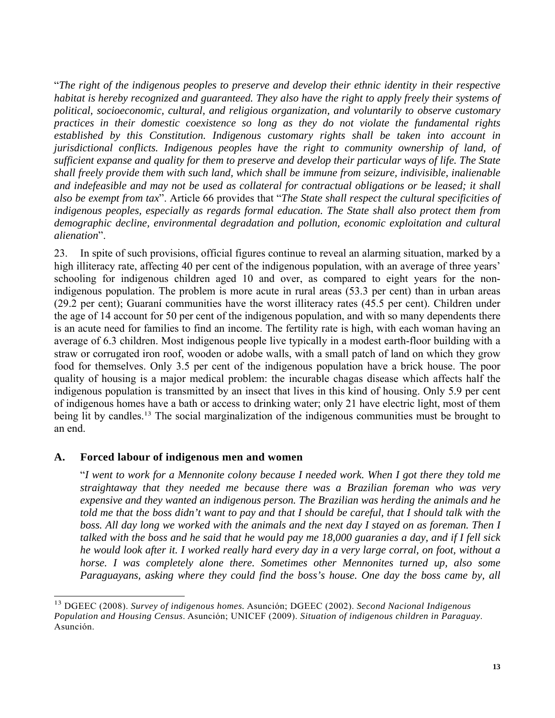"*The right of the indigenous peoples to preserve and develop their ethnic identity in their respective habitat is hereby recognized and guaranteed. They also have the right to apply freely their systems of political, socioeconomic, cultural, and religious organization, and voluntarily to observe customary practices in their domestic coexistence so long as they do not violate the fundamental rights established by this Constitution. Indigenous customary rights shall be taken into account in jurisdictional conflicts. Indigenous peoples have the right to community ownership of land, of sufficient expanse and quality for them to preserve and develop their particular ways of life. The State shall freely provide them with such land, which shall be immune from seizure, indivisible, inalienable and indefeasible and may not be used as collateral for contractual obligations or be leased; it shall also be exempt from tax*". Article 66 provides that "*The State shall respect the cultural specificities of indigenous peoples, especially as regards formal education. The State shall also protect them from demographic decline, environmental degradation and pollution, economic exploitation and cultural alienation*".

23. In spite of such provisions, official figures continue to reveal an alarming situation, marked by a high illiteracy rate, affecting 40 per cent of the indigenous population, with an average of three years' schooling for indigenous children aged 10 and over, as compared to eight years for the nonindigenous population. The problem is more acute in rural areas (53.3 per cent) than in urban areas (29.2 per cent); Guaraní communities have the worst illiteracy rates (45.5 per cent). Children under the age of 14 account for 50 per cent of the indigenous population, and with so many dependents there is an acute need for families to find an income. The fertility rate is high, with each woman having an average of 6.3 children. Most indigenous people live typically in a modest earth-floor building with a straw or corrugated iron roof, wooden or adobe walls, with a small patch of land on which they grow food for themselves. Only 3.5 per cent of the indigenous population have a brick house. The poor quality of housing is a major medical problem: the incurable chagas disease which affects half the indigenous population is transmitted by an insect that lives in this kind of housing. Only 5.9 per cent of indigenous homes have a bath or access to drinking water; only 21 have electric light, most of them being lit by candles.<sup>13</sup> The social marginalization of the indigenous communities must be brought to an end.

### **A. Forced labour of indigenous men and women**

 $\overline{a}$ 

"*I went to work for a Mennonite colony because I needed work. When I got there they told me straightaway that they needed me because there was a Brazilian foreman who was very expensive and they wanted an indigenous person. The Brazilian was herding the animals and he told me that the boss didn't want to pay and that I should be careful, that I should talk with the boss. All day long we worked with the animals and the next day I stayed on as foreman. Then I talked with the boss and he said that he would pay me 18,000 guaranies a day, and if I fell sick he would look after it. I worked really hard every day in a very large corral, on foot, without a horse. I was completely alone there. Sometimes other Mennonites turned up, also some Paraguayans, asking where they could find the boss's house. One day the boss came by, all* 

<sup>13</sup> DGEEC (2008). *Survey of indigenous homes.* Asunción; DGEEC (2002). *Second Nacional Indigenous Population and Housing Census*. Asunción; UNICEF (2009). *Situation of indigenous children in Paraguay*. Asunción.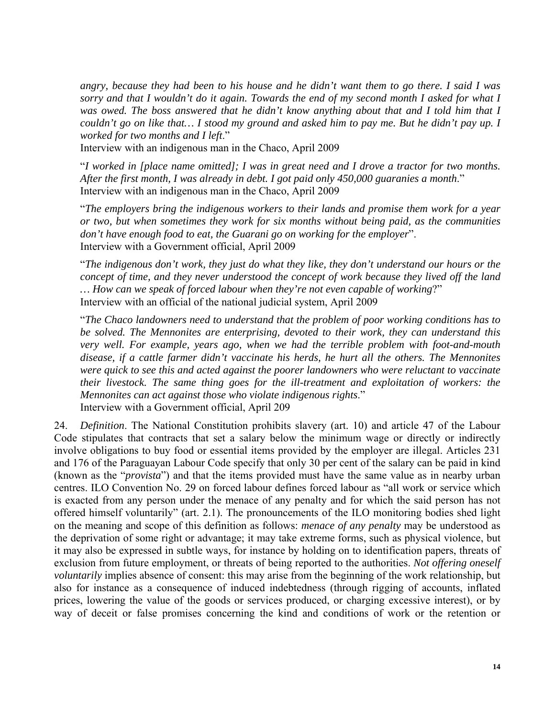*angry, because they had been to his house and he didn't want them to go there. I said I was sorry and that I wouldn't do it again. Towards the end of my second month I asked for what I was owed. The boss answered that he didn't know anything about that and I told him that I couldn't go on like that… I stood my ground and asked him to pay me. But he didn't pay up. I worked for two months and I left*."

Interview with an indigenous man in the Chaco, April 2009

"*I worked in [place name omitted]; I was in great need and I drove a tractor for two months. After the first month, I was already in debt. I got paid only 450,000 guaranies a month*." Interview with an indigenous man in the Chaco, April 2009

"*The employers bring the indigenous workers to their lands and promise them work for a year or two, but when sometimes they work for six months without being paid, as the communities don't have enough food to eat, the Guarani go on working for the employer*". Interview with a Government official, April 2009

"*The indigenous don't work, they just do what they like, they don't understand our hours or the concept of time, and they never understood the concept of work because they lived off the land … How can we speak of forced labour when they're not even capable of working*?" Interview with an official of the national judicial system, April 2009

"*The Chaco landowners need to understand that the problem of poor working conditions has to be solved. The Mennonites are enterprising, devoted to their work, they can understand this very well. For example, years ago, when we had the terrible problem with foot-and-mouth disease, if a cattle farmer didn't vaccinate his herds, he hurt all the others. The Mennonites were quick to see this and acted against the poorer landowners who were reluctant to vaccinate their livestock. The same thing goes for the ill-treatment and exploitation of workers: the Mennonites can act against those who violate indigenous rights*." Interview with a Government official, April 209

24. *Definition*. The National Constitution prohibits slavery (art. 10) and article 47 of the Labour Code stipulates that contracts that set a salary below the minimum wage or directly or indirectly involve obligations to buy food or essential items provided by the employer are illegal. Articles 231 and 176 of the Paraguayan Labour Code specify that only 30 per cent of the salary can be paid in kind (known as the "*provista*") and that the items provided must have the same value as in nearby urban centres. ILO Convention No. 29 on forced labour defines forced labour as "all work or service which is exacted from any person under the menace of any penalty and for which the said person has not offered himself voluntarily" (art. 2.1). The pronouncements of the ILO monitoring bodies shed light on the meaning and scope of this definition as follows: *menace of any penalty* may be understood as the deprivation of some right or advantage; it may take extreme forms, such as physical violence, but it may also be expressed in subtle ways, for instance by holding on to identification papers, threats of exclusion from future employment, or threats of being reported to the authorities. *Not offering oneself voluntarily* implies absence of consent: this may arise from the beginning of the work relationship, but also for instance as a consequence of induced indebtedness (through rigging of accounts, inflated prices, lowering the value of the goods or services produced, or charging excessive interest), or by way of deceit or false promises concerning the kind and conditions of work or the retention or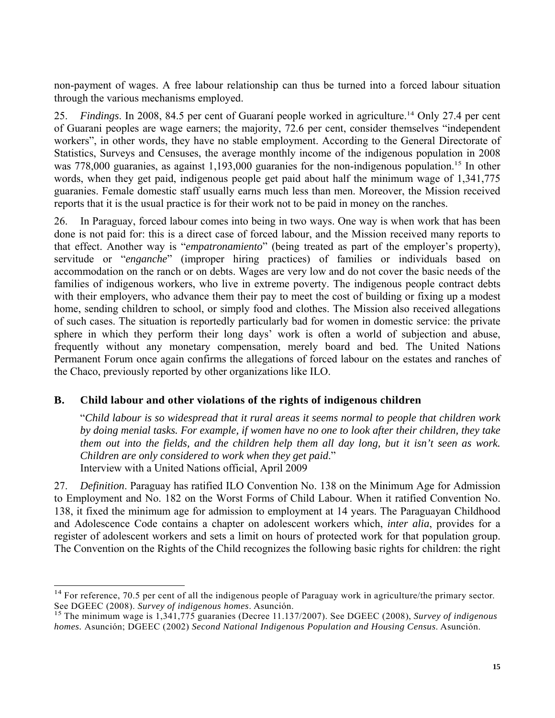non-payment of wages. A free labour relationship can thus be turned into a forced labour situation through the various mechanisms employed.

25. *Findings*. In 2008, 84.5 per cent of Guaraní people worked in agriculture.14 Only 27.4 per cent of Guarani peoples are wage earners; the majority, 72.6 per cent, consider themselves "independent workers", in other words, they have no stable employment. According to the General Directorate of Statistics, Surveys and Censuses, the average monthly income of the indigenous population in 2008 was 778,000 guaranies, as against 1,193,000 guaranies for the non-indigenous population.<sup>15</sup> In other words, when they get paid, indigenous people get paid about half the minimum wage of 1,341,775 guaranies. Female domestic staff usually earns much less than men. Moreover, the Mission received reports that it is the usual practice is for their work not to be paid in money on the ranches.

26. In Paraguay, forced labour comes into being in two ways. One way is when work that has been done is not paid for: this is a direct case of forced labour, and the Mission received many reports to that effect. Another way is "*empatronamiento*" (being treated as part of the employer's property), servitude or "*enganche*" (improper hiring practices) of families or individuals based on accommodation on the ranch or on debts. Wages are very low and do not cover the basic needs of the families of indigenous workers, who live in extreme poverty. The indigenous people contract debts with their employers, who advance them their pay to meet the cost of building or fixing up a modest home, sending children to school, or simply food and clothes. The Mission also received allegations of such cases. The situation is reportedly particularly bad for women in domestic service: the private sphere in which they perform their long days' work is often a world of subjection and abuse, frequently without any monetary compensation, merely board and bed. The United Nations Permanent Forum once again confirms the allegations of forced labour on the estates and ranches of the Chaco, previously reported by other organizations like ILO.

# **B. Child labour and other violations of the rights of indigenous children**

l

"*Child labour is so widespread that it rural areas it seems normal to people that children work by doing menial tasks. For example, if women have no one to look after their children, they take them out into the fields, and the children help them all day long, but it isn't seen as work. Children are only considered to work when they get paid*." Interview with a United Nations official, April 2009

27. *Definition*. Paraguay has ratified ILO Convention No. 138 on the Minimum Age for Admission to Employment and No. 182 on the Worst Forms of Child Labour. When it ratified Convention No. 138, it fixed the minimum age for admission to employment at 14 years. The Paraguayan Childhood and Adolescence Code contains a chapter on adolescent workers which, *inter alia*, provides for a register of adolescent workers and sets a limit on hours of protected work for that population group. The Convention on the Rights of the Child recognizes the following basic rights for children: the right

 $14$  For reference, 70.5 per cent of all the indigenous people of Paraguay work in agriculture/the primary sector. See DGEEC (2008). *Survey of indigenous homes*. Asunción. 15 The minimum wage is 1,341,775 guaranies (Decree 11.137/2007). See DGEEC (2008), *Survey of indigenous* 

*homes.* Asunción; DGEEC (2002) *Second National Indigenous Population and Housing Census*. Asunción.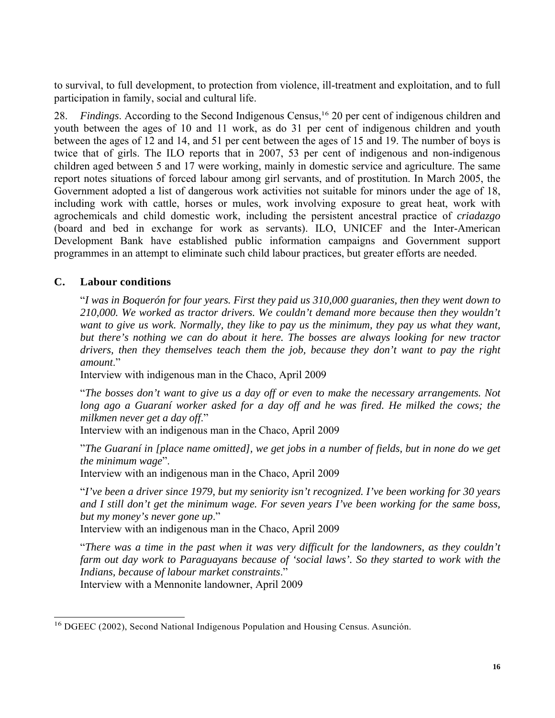to survival, to full development, to protection from violence, ill-treatment and exploitation, and to full participation in family, social and cultural life.

28. *Findings*. According to the Second Indigenous Census,16 20 per cent of indigenous children and youth between the ages of 10 and 11 work, as do 31 per cent of indigenous children and youth between the ages of 12 and 14, and 51 per cent between the ages of 15 and 19. The number of boys is twice that of girls. The ILO reports that in 2007, 53 per cent of indigenous and non-indigenous children aged between 5 and 17 were working, mainly in domestic service and agriculture. The same report notes situations of forced labour among girl servants, and of prostitution. In March 2005, the Government adopted a list of dangerous work activities not suitable for minors under the age of 18, including work with cattle, horses or mules, work involving exposure to great heat, work with agrochemicals and child domestic work, including the persistent ancestral practice of *criadazgo*  (board and bed in exchange for work as servants). ILO, UNICEF and the Inter-American Development Bank have established public information campaigns and Government support programmes in an attempt to eliminate such child labour practices, but greater efforts are needed.

# **C. Labour conditions**

l

"*I was in Boquerón for four years. First they paid us 310,000 guaranies, then they went down to 210,000. We worked as tractor drivers. We couldn't demand more because then they wouldn't want to give us work. Normally, they like to pay us the minimum, they pay us what they want, but there's nothing we can do about it here. The bosses are always looking for new tractor drivers, then they themselves teach them the job, because they don't want to pay the right amount*."

Interview with indigenous man in the Chaco, April 2009

"*The bosses don't want to give us a day off or even to make the necessary arrangements. Not*  long ago a Guaraní worker asked for a day off and he was fired. He milked the cows; the *milkmen never get a day off*."

Interview with an indigenous man in the Chaco, April 2009

"*The Guaraní in [place name omitted], we get jobs in a number of fields, but in none do we get the minimum wage*".

Interview with an indigenous man in the Chaco, April 2009

"*I've been a driver since 1979, but my seniority isn't recognized. I've been working for 30 years and I still don't get the minimum wage. For seven years I've been working for the same boss, but my money's never gone up*."

Interview with an indigenous man in the Chaco, April 2009

"*There was a time in the past when it was very difficult for the landowners, as they couldn't farm out day work to Paraguayans because of 'social laws'. So they started to work with the Indians, because of labour market constraints*."

Interview with a Mennonite landowner, April 2009

<sup>&</sup>lt;sup>16</sup> DGEEC (2002), Second National Indigenous Population and Housing Census. Asunción.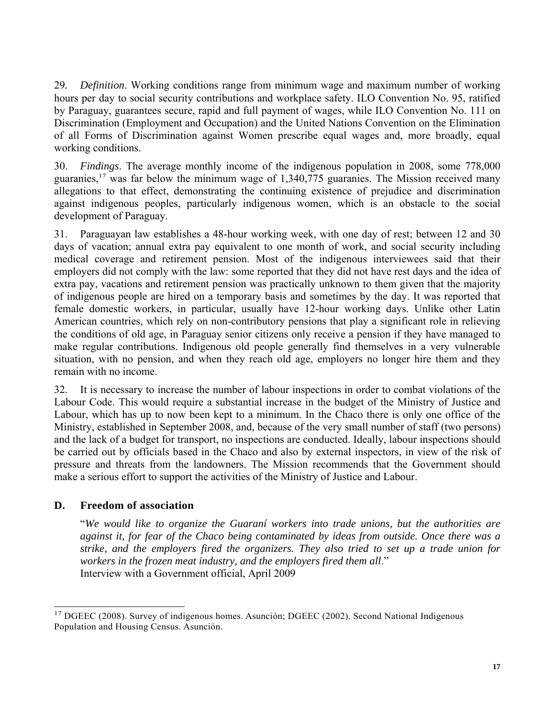29*. Definition*. Working conditions range from minimum wage and maximum number of working hours per day to social security contributions and workplace safety. ILO Convention No. 95, ratified by Paraguay, guarantees secure, rapid and full payment of wages, while ILO Convention No. 111 on Discrimination (Employment and Occupation) and the United Nations Convention on the Elimination of all Forms of Discrimination against Women prescribe equal wages and, more broadly, equal working conditions.

30. *Findings*. The average monthly income of the indigenous population in 2008, some 778,000 guaranies,<sup>17</sup> was far below the minimum wage of  $1,340,775$  guaranies. The Mission received many allegations to that effect, demonstrating the continuing existence of prejudice and discrimination against indigenous peoples, particularly indigenous women, which is an obstacle to the social development of Paraguay.

31. Paraguayan law establishes a 48-hour working week, with one day of rest; between 12 and 30 days of vacation; annual extra pay equivalent to one month of work, and social security including medical coverage and retirement pension. Most of the indigenous interviewees said that their employers did not comply with the law: some reported that they did not have rest days and the idea of extra pay, vacations and retirement pension was practically unknown to them given that the majority of indigenous people are hired on a temporary basis and sometimes by the day. It was reported that female domestic workers, in particular, usually have 12-hour working days. Unlike other Latin American countries, which rely on non-contributory pensions that play a significant role in relieving the conditions of old age, in Paraguay senior citizens only receive a pension if they have managed to make regular contributions. Indigenous old people generally find themselves in a very vulnerable situation, with no pension, and when they reach old age, employers no longer hire them and they remain with no income.

32. It is necessary to increase the number of labour inspections in order to combat violations of the Labour Code. This would require a substantial increase in the budget of the Ministry of Justice and Labour, which has up to now been kept to a minimum. In the Chaco there is only one office of the Ministry, established in September 2008, and, because of the very small number of staff (two persons) and the lack of a budget for transport, no inspections are conducted. Ideally, labour inspections should be carried out by officials based in the Chaco and also by external inspectors, in view of the risk of pressure and threats from the landowners. The Mission recommends that the Government should make a serious effort to support the activities of the Ministry of Justice and Labour.

# **D. Freedom of association**

 $\overline{a}$ 

"*We would like to organize the Guaraní workers into trade unions, but the authorities are against it, for fear of the Chaco being contaminated by ideas from outside. Once there was a strike, and the employers fired the organizers. They also tried to set up a trade union for workers in the frozen meat industry, and the employers fired them all*." Interview with a Government official, April 2009

<sup>&</sup>lt;sup>17</sup> DGEEC (2008). Survey of indigenous homes. Asunción; DGEEC (2002). Second National Indigenous Population and Housing Census. Asunción.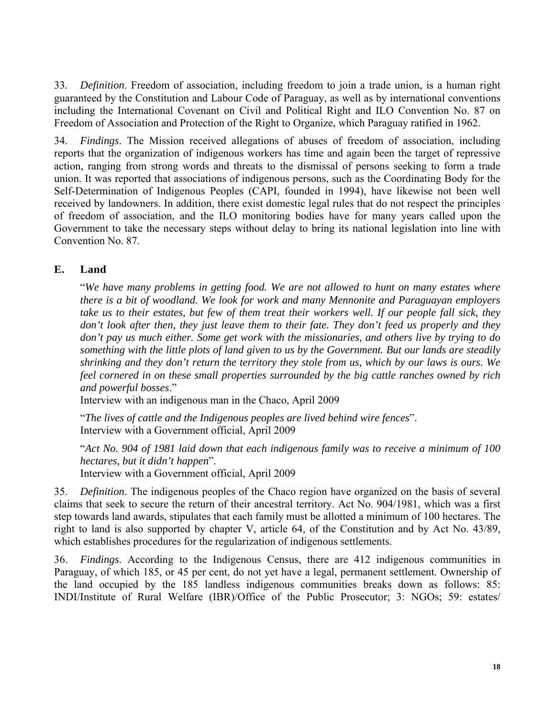33*. Definition*. Freedom of association, including freedom to join a trade union, is a human right guaranteed by the Constitution and Labour Code of Paraguay, as well as by international conventions including the International Covenant on Civil and Political Right and ILO Convention No. 87 on Freedom of Association and Protection of the Right to Organize, which Paraguay ratified in 1962.

34. *Findings*. The Mission received allegations of abuses of freedom of association, including reports that the organization of indigenous workers has time and again been the target of repressive action, ranging from strong words and threats to the dismissal of persons seeking to form a trade union. It was reported that associations of indigenous persons, such as the Coordinating Body for the Self-Determination of Indigenous Peoples (CAPI, founded in 1994), have likewise not been well received by landowners. In addition, there exist domestic legal rules that do not respect the principles of freedom of association, and the ILO monitoring bodies have for many years called upon the Government to take the necessary steps without delay to bring its national legislation into line with Convention No. 87.

### **E. Land**

"*We have many problems in getting food. We are not allowed to hunt on many estates where there is a bit of woodland. We look for work and many Mennonite and Paraguayan employers take us to their estates, but few of them treat their workers well. If our people fall sick, they don't look after then, they just leave them to their fate. They don't feed us properly and they don't pay us much either. Some get work with the missionaries, and others live by trying to do something with the little plots of land given to us by the Government. But our lands are steadily shrinking and they don't return the territory they stole from us, which by our laws is ours. We feel cornered in on these small properties surrounded by the big cattle ranches owned by rich and powerful bosses*."

Interview with an indigenous man in the Chaco, April 2009

"*The lives of cattle and the Indigenous peoples are lived behind wire fences*". Interview with a Government official, April 2009

"*Act No. 904 of 1981 laid down that each indigenous family was to receive a minimum of 100 hectares, but it didn't happen*".

Interview with a Government official, April 2009

35. *Definition*. The indigenous peoples of the Chaco region have organized on the basis of several claims that seek to secure the return of their ancestral territory. Act No. 904/1981, which was a first step towards land awards, stipulates that each family must be allotted a minimum of 100 hectares. The right to land is also supported by chapter V, article 64, of the Constitution and by Act No. 43/89, which establishes procedures for the regularization of indigenous settlements.

36. *Findings*. According to the Indigenous Census, there are 412 indigenous communities in Paraguay, of which 185, or 45 per cent, do not yet have a legal, permanent settlement. Ownership of the land occupied by the 185 landless indigenous communities breaks down as follows: 85: INDI/Institute of Rural Welfare (IBR)/Office of the Public Prosecutor; 3: NGOs; 59: estates/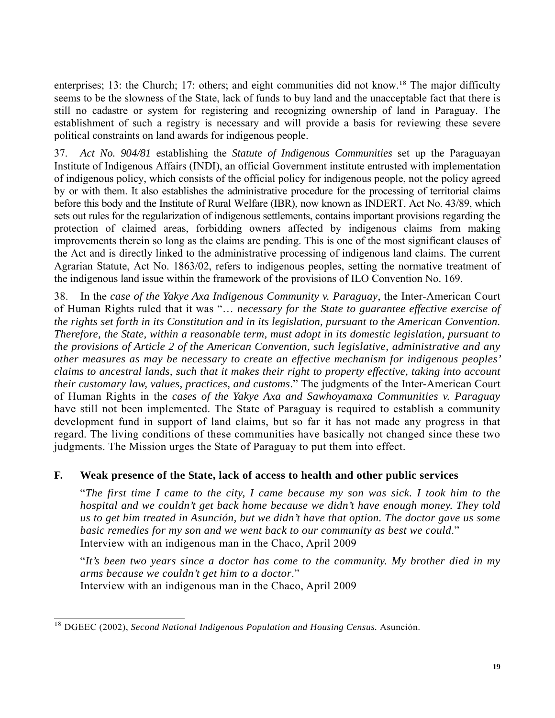enterprises; 13: the Church; 17: others; and eight communities did not know.<sup>18</sup> The major difficulty seems to be the slowness of the State, lack of funds to buy land and the unacceptable fact that there is still no cadastre or system for registering and recognizing ownership of land in Paraguay. The establishment of such a registry is necessary and will provide a basis for reviewing these severe political constraints on land awards for indigenous people.

37. *Act No. 904/81* establishing the *Statute of Indigenous Communities* set up the Paraguayan Institute of Indigenous Affairs (INDI), an official Government institute entrusted with implementation of indigenous policy, which consists of the official policy for indigenous people, not the policy agreed by or with them. It also establishes the administrative procedure for the processing of territorial claims before this body and the Institute of Rural Welfare (IBR), now known as INDERT. Act No. 43/89, which sets out rules for the regularization of indigenous settlements, contains important provisions regarding the protection of claimed areas, forbidding owners affected by indigenous claims from making improvements therein so long as the claims are pending. This is one of the most significant clauses of the Act and is directly linked to the administrative processing of indigenous land claims. The current Agrarian Statute, Act No. 1863/02, refers to indigenous peoples, setting the normative treatment of the indigenous land issue within the framework of the provisions of ILO Convention No. 169.

38. In the *case of the Yakye Axa Indigenous Community v. Paraguay*, the Inter-American Court of Human Rights ruled that it was "… *necessary for the State to guarantee effective exercise of the rights set forth in its Constitution and in its legislation, pursuant to the American Convention. Therefore, the State, within a reasonable term, must adopt in its domestic legislation, pursuant to the provisions of Article 2 of the American Convention, such legislative, administrative and any other measures as may be necessary to create an effective mechanism for indigenous peoples' claims to ancestral lands, such that it makes their right to property effective, taking into account their customary law, values, practices, and customs*." The judgments of the Inter-American Court of Human Rights in the *cases of the Yakye Axa and Sawhoyamaxa Communities v. Paraguay* have still not been implemented. The State of Paraguay is required to establish a community development fund in support of land claims, but so far it has not made any progress in that regard. The living conditions of these communities have basically not changed since these two judgments. The Mission urges the State of Paraguay to put them into effect.

# **F. Weak presence of the State, lack of access to health and other public services**

"*The first time I came to the city, I came because my son was sick. I took him to the hospital and we couldn't get back home because we didn't have enough money. They told us to get him treated in Asunción, but we didn't have that option. The doctor gave us some basic remedies for my son and we went back to our community as best we could*." Interview with an indigenous man in the Chaco, April 2009

 "*It's been two years since a doctor has come to the community. My brother died in my arms because we couldn't get him to a doctor*." Interview with an indigenous man in the Chaco, April 2009

 18 DGEEC (2002), *Second National Indigenous Population and Housing Census.* Asunción.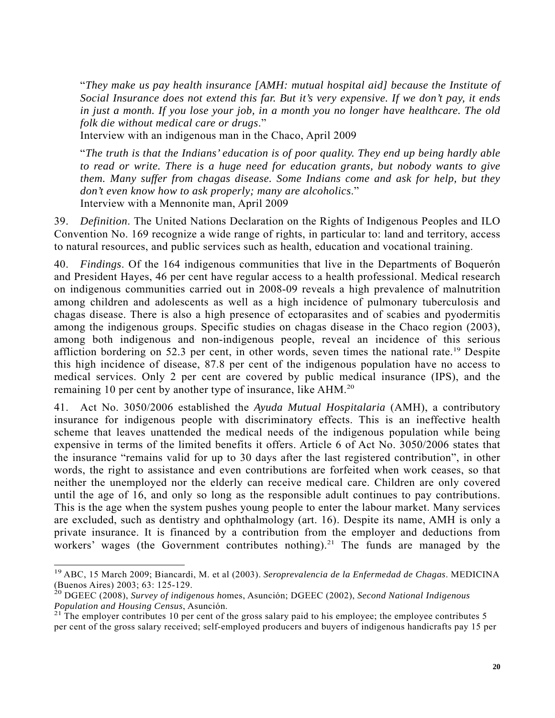"*They make us pay health insurance [AMH: mutual hospital aid] because the Institute of Social Insurance does not extend this far. But it's very expensive. If we don't pay, it ends in just a month. If you lose your job, in a month you no longer have healthcare. The old folk die without medical care or drugs*."

Interview with an indigenous man in the Chaco, April 2009

"*The truth is that the Indians' education is of poor quality. They end up being hardly able to read or write. There is a huge need for education grants, but nobody wants to give them. Many suffer from chagas disease. Some Indians come and ask for help, but they don't even know how to ask properly; many are alcoholics*." Interview with a Mennonite man, April 2009

39. *Definition*. The United Nations Declaration on the Rights of Indigenous Peoples and ILO Convention No. 169 recognize a wide range of rights, in particular to: land and territory, access to natural resources, and public services such as health, education and vocational training.

40. *Findings*. Of the 164 indigenous communities that live in the Departments of Boquerón and President Hayes, 46 per cent have regular access to a health professional. Medical research on indigenous communities carried out in 2008-09 reveals a high prevalence of malnutrition among children and adolescents as well as a high incidence of pulmonary tuberculosis and chagas disease. There is also a high presence of ectoparasites and of scabies and pyodermitis among the indigenous groups. Specific studies on chagas disease in the Chaco region (2003), among both indigenous and non-indigenous people, reveal an incidence of this serious affliction bordering on 52.3 per cent, in other words, seven times the national rate.<sup>19</sup> Despite this high incidence of disease, 87.8 per cent of the indigenous population have no access to medical services. Only 2 per cent are covered by public medical insurance (IPS), and the remaining 10 per cent by another type of insurance, like AHM.<sup>20</sup>

41. Act No. 3050/2006 established the *Ayuda Mutual Hospitalaria* (AMH), a contributory insurance for indigenous people with discriminatory effects. This is an ineffective health scheme that leaves unattended the medical needs of the indigenous population while being expensive in terms of the limited benefits it offers. Article 6 of Act No. 3050/2006 states that the insurance "remains valid for up to 30 days after the last registered contribution", in other words, the right to assistance and even contributions are forfeited when work ceases, so that neither the unemployed nor the elderly can receive medical care. Children are only covered until the age of 16, and only so long as the responsible adult continues to pay contributions. This is the age when the system pushes young people to enter the labour market. Many services are excluded, such as dentistry and ophthalmology (art. 16). Despite its name, AMH is only a private insurance. It is financed by a contribution from the employer and deductions from workers' wages (the Government contributes nothing).<sup>21</sup> The funds are managed by the

 $\overline{a}$ 

<sup>19</sup> ABC, 15 March 2009; Biancardi, M. et al (2003). *Seroprevalencia de la Enfermedad de Chagas*. MEDICINA (Buenos Aires) 2003; 63: 125-129.

<sup>20</sup> DGEEC (2008), *Survey of indigenous ho*mes, Asunción; DGEEC (2002), *Second National Indigenous Population and Housing Census*, Asunción.<br><sup>21</sup> The employer contributes 10 per cent of the gross salary paid to his employee; the employee contributes 5

per cent of the gross salary received; self-employed producers and buyers of indigenous handicrafts pay 15 per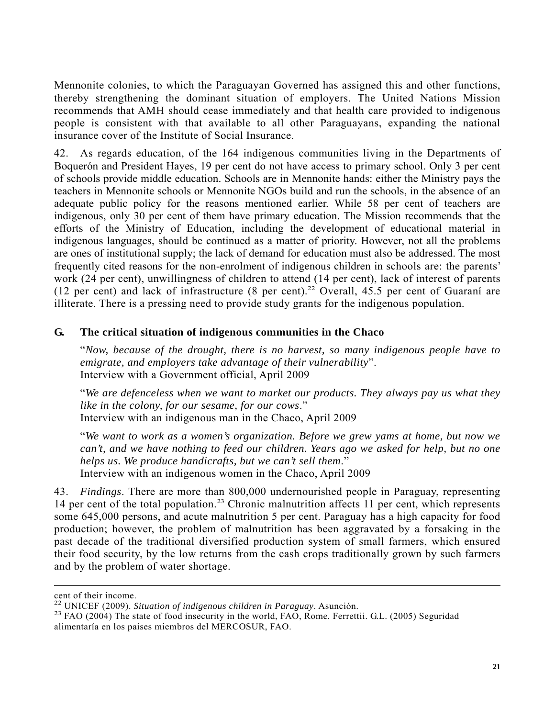Mennonite colonies, to which the Paraguayan Governed has assigned this and other functions, thereby strengthening the dominant situation of employers. The United Nations Mission recommends that AMH should cease immediately and that health care provided to indigenous people is consistent with that available to all other Paraguayans, expanding the national insurance cover of the Institute of Social Insurance.

42. As regards education, of the 164 indigenous communities living in the Departments of Boquerón and President Hayes, 19 per cent do not have access to primary school. Only 3 per cent of schools provide middle education. Schools are in Mennonite hands: either the Ministry pays the teachers in Mennonite schools or Mennonite NGOs build and run the schools, in the absence of an adequate public policy for the reasons mentioned earlier. While 58 per cent of teachers are indigenous, only 30 per cent of them have primary education. The Mission recommends that the efforts of the Ministry of Education, including the development of educational material in indigenous languages, should be continued as a matter of priority. However, not all the problems are ones of institutional supply; the lack of demand for education must also be addressed. The most frequently cited reasons for the non-enrolment of indigenous children in schools are: the parents' work (24 per cent), unwillingness of children to attend (14 per cent), lack of interest of parents (12 per cent) and lack of infrastructure (8 per cent).<sup>22</sup> Overall, 45.5 per cent of Guaraní are illiterate. There is a pressing need to provide study grants for the indigenous population.

# **G. The critical situation of indigenous communities in the Chaco**

"*Now, because of the drought, there is no harvest, so many indigenous people have to emigrate, and employers take advantage of their vulnerability*". Interview with a Government official, April 2009

"*We are defenceless when we want to market our products. They always pay us what they like in the colony, for our sesame, for our cows*." Interview with an indigenous man in the Chaco, April 2009

"*We want to work as a women's organization. Before we grew yams at home, but now we can't, and we have nothing to feed our children. Years ago we asked for help, but no one helps us. We produce handicrafts, but we can't sell them*." Interview with an indigenous women in the Chaco, April 2009

43. *Findings*. There are more than 800,000 undernourished people in Paraguay, representing 14 per cent of the total population.<sup>23</sup> Chronic malnutrition affects 11 per cent, which represents some 645,000 persons, and acute malnutrition 5 per cent. Paraguay has a high capacity for food production; however, the problem of malnutrition has been aggravated by a forsaking in the past decade of the traditional diversified production system of small farmers, which ensured their food security, by the low returns from the cash crops traditionally grown by such farmers and by the problem of water shortage.

l

cent of their income.<br><sup>22</sup> UNICEF (2009). Situation of indigenous children in Paraguay. Asunción.

<sup>&</sup>lt;sup>23</sup> FAO (2004). The state of food insecurity in the world, FAO, Rome. Ferrettii. G.L. (2005) Seguridad alimentaría en los países miembros del MERCOSUR, FAO.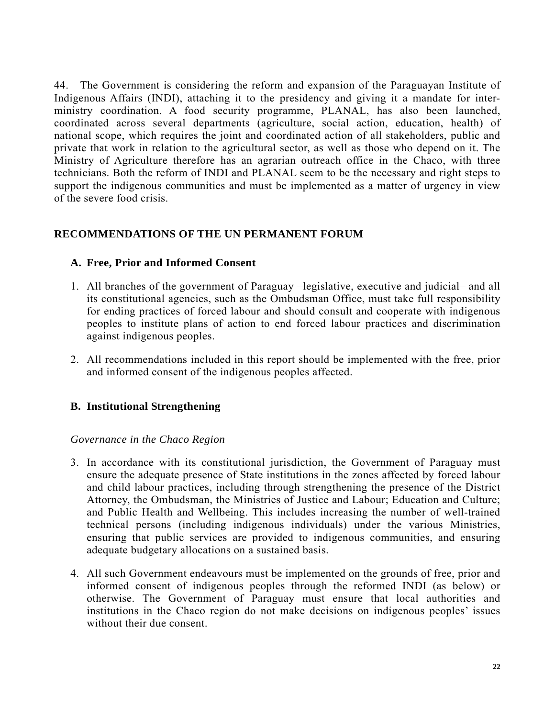44. The Government is considering the reform and expansion of the Paraguayan Institute of Indigenous Affairs (INDI), attaching it to the presidency and giving it a mandate for interministry coordination. A food security programme, PLANAL, has also been launched, coordinated across several departments (agriculture, social action, education, health) of national scope, which requires the joint and coordinated action of all stakeholders, public and private that work in relation to the agricultural sector, as well as those who depend on it. The Ministry of Agriculture therefore has an agrarian outreach office in the Chaco, with three technicians. Both the reform of INDI and PLANAL seem to be the necessary and right steps to support the indigenous communities and must be implemented as a matter of urgency in view of the severe food crisis.

# **RECOMMENDATIONS OF THE UN PERMANENT FORUM**

### **A. Free, Prior and Informed Consent**

- 1. All branches of the government of Paraguay –legislative, executive and judicial– and all its constitutional agencies, such as the Ombudsman Office, must take full responsibility for ending practices of forced labour and should consult and cooperate with indigenous peoples to institute plans of action to end forced labour practices and discrimination against indigenous peoples.
- 2. All recommendations included in this report should be implemented with the free, prior and informed consent of the indigenous peoples affected.

### **B. Institutional Strengthening**

#### *Governance in the Chaco Region*

- 3. In accordance with its constitutional jurisdiction, the Government of Paraguay must ensure the adequate presence of State institutions in the zones affected by forced labour and child labour practices, including through strengthening the presence of the District Attorney, the Ombudsman, the Ministries of Justice and Labour; Education and Culture; and Public Health and Wellbeing. This includes increasing the number of well-trained technical persons (including indigenous individuals) under the various Ministries, ensuring that public services are provided to indigenous communities, and ensuring adequate budgetary allocations on a sustained basis.
- 4. All such Government endeavours must be implemented on the grounds of free, prior and informed consent of indigenous peoples through the reformed INDI (as below) or otherwise. The Government of Paraguay must ensure that local authorities and institutions in the Chaco region do not make decisions on indigenous peoples' issues without their due consent.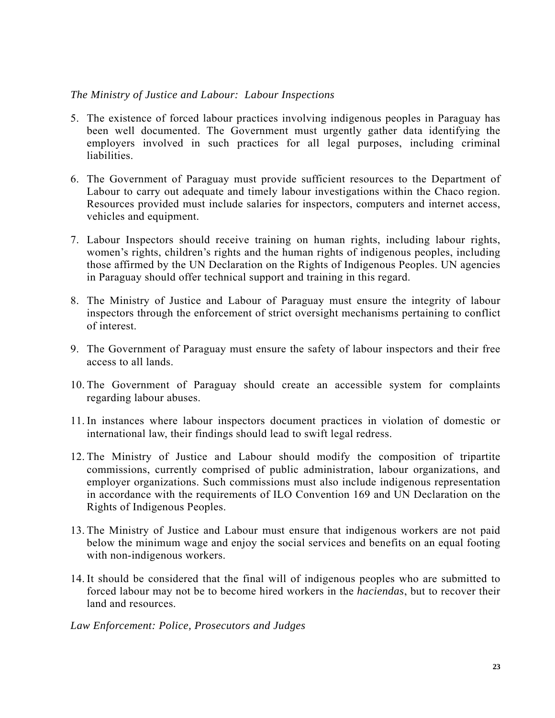### *The Ministry of Justice and Labour: Labour Inspections*

- 5. The existence of forced labour practices involving indigenous peoples in Paraguay has been well documented. The Government must urgently gather data identifying the employers involved in such practices for all legal purposes, including criminal liabilities.
- 6. The Government of Paraguay must provide sufficient resources to the Department of Labour to carry out adequate and timely labour investigations within the Chaco region. Resources provided must include salaries for inspectors, computers and internet access, vehicles and equipment.
- 7. Labour Inspectors should receive training on human rights, including labour rights, women's rights, children's rights and the human rights of indigenous peoples, including those affirmed by the UN Declaration on the Rights of Indigenous Peoples. UN agencies in Paraguay should offer technical support and training in this regard.
- 8. The Ministry of Justice and Labour of Paraguay must ensure the integrity of labour inspectors through the enforcement of strict oversight mechanisms pertaining to conflict of interest.
- 9. The Government of Paraguay must ensure the safety of labour inspectors and their free access to all lands.
- 10. The Government of Paraguay should create an accessible system for complaints regarding labour abuses.
- 11. In instances where labour inspectors document practices in violation of domestic or international law, their findings should lead to swift legal redress.
- 12. The Ministry of Justice and Labour should modify the composition of tripartite commissions, currently comprised of public administration, labour organizations, and employer organizations. Such commissions must also include indigenous representation in accordance with the requirements of ILO Convention 169 and UN Declaration on the Rights of Indigenous Peoples.
- 13. The Ministry of Justice and Labour must ensure that indigenous workers are not paid below the minimum wage and enjoy the social services and benefits on an equal footing with non-indigenous workers.
- 14. It should be considered that the final will of indigenous peoples who are submitted to forced labour may not be to become hired workers in the *haciendas*, but to recover their land and resources.

*Law Enforcement: Police, Prosecutors and Judges*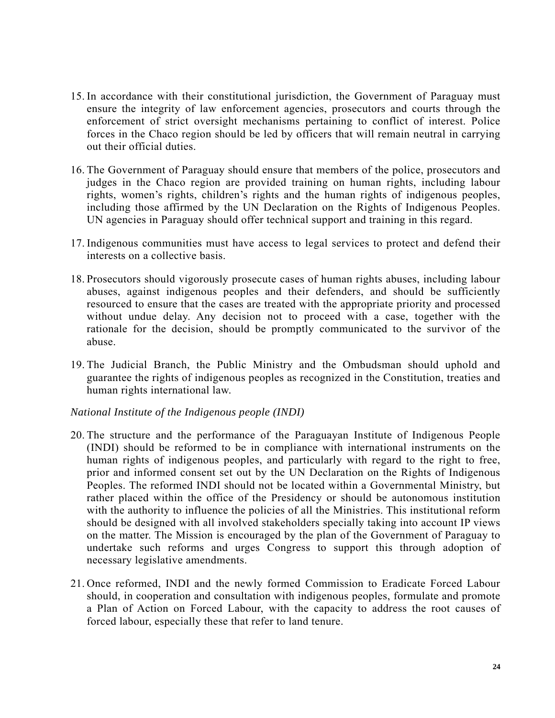- 15. In accordance with their constitutional jurisdiction, the Government of Paraguay must ensure the integrity of law enforcement agencies, prosecutors and courts through the enforcement of strict oversight mechanisms pertaining to conflict of interest. Police forces in the Chaco region should be led by officers that will remain neutral in carrying out their official duties.
- 16. The Government of Paraguay should ensure that members of the police, prosecutors and judges in the Chaco region are provided training on human rights, including labour rights, women's rights, children's rights and the human rights of indigenous peoples, including those affirmed by the UN Declaration on the Rights of Indigenous Peoples. UN agencies in Paraguay should offer technical support and training in this regard.
- 17. Indigenous communities must have access to legal services to protect and defend their interests on a collective basis.
- 18. Prosecutors should vigorously prosecute cases of human rights abuses, including labour abuses, against indigenous peoples and their defenders, and should be sufficiently resourced to ensure that the cases are treated with the appropriate priority and processed without undue delay. Any decision not to proceed with a case, together with the rationale for the decision, should be promptly communicated to the survivor of the abuse.
- 19. The Judicial Branch, the Public Ministry and the Ombudsman should uphold and guarantee the rights of indigenous peoples as recognized in the Constitution, treaties and human rights international law.

#### *National Institute of the Indigenous people (INDI)*

- 20. The structure and the performance of the Paraguayan Institute of Indigenous People (INDI) should be reformed to be in compliance with international instruments on the human rights of indigenous peoples, and particularly with regard to the right to free, prior and informed consent set out by the UN Declaration on the Rights of Indigenous Peoples. The reformed INDI should not be located within a Governmental Ministry, but rather placed within the office of the Presidency or should be autonomous institution with the authority to influence the policies of all the Ministries. This institutional reform should be designed with all involved stakeholders specially taking into account IP views on the matter. The Mission is encouraged by the plan of the Government of Paraguay to undertake such reforms and urges Congress to support this through adoption of necessary legislative amendments.
- 21. Once reformed, INDI and the newly formed Commission to Eradicate Forced Labour should, in cooperation and consultation with indigenous peoples, formulate and promote a Plan of Action on Forced Labour, with the capacity to address the root causes of forced labour, especially these that refer to land tenure.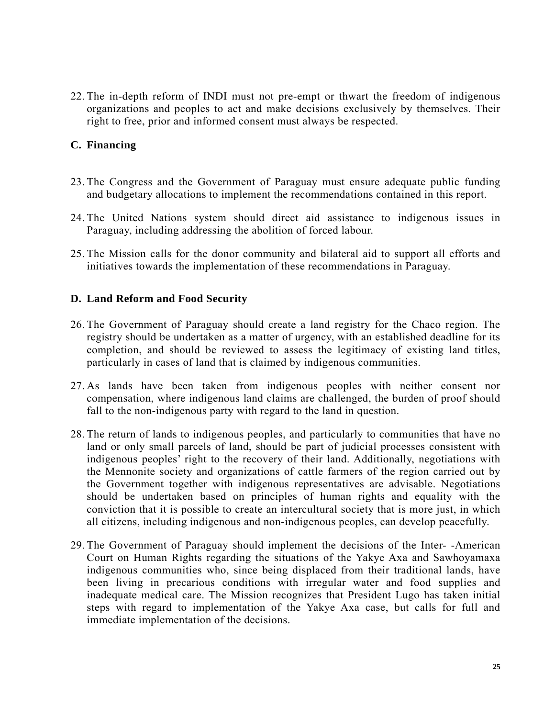22. The in-depth reform of INDI must not pre-empt or thwart the freedom of indigenous organizations and peoples to act and make decisions exclusively by themselves. Their right to free, prior and informed consent must always be respected.

# **C. Financing**

- 23. The Congress and the Government of Paraguay must ensure adequate public funding and budgetary allocations to implement the recommendations contained in this report.
- 24. The United Nations system should direct aid assistance to indigenous issues in Paraguay, including addressing the abolition of forced labour.
- 25. The Mission calls for the donor community and bilateral aid to support all efforts and initiatives towards the implementation of these recommendations in Paraguay.

# **D. Land Reform and Food Security**

- 26. The Government of Paraguay should create a land registry for the Chaco region. The registry should be undertaken as a matter of urgency, with an established deadline for its completion, and should be reviewed to assess the legitimacy of existing land titles, particularly in cases of land that is claimed by indigenous communities.
- 27. As lands have been taken from indigenous peoples with neither consent nor compensation, where indigenous land claims are challenged, the burden of proof should fall to the non-indigenous party with regard to the land in question.
- 28. The return of lands to indigenous peoples, and particularly to communities that have no land or only small parcels of land, should be part of judicial processes consistent with indigenous peoples' right to the recovery of their land. Additionally, negotiations with the Mennonite society and organizations of cattle farmers of the region carried out by the Government together with indigenous representatives are advisable. Negotiations should be undertaken based on principles of human rights and equality with the conviction that it is possible to create an intercultural society that is more just, in which all citizens, including indigenous and non-indigenous peoples, can develop peacefully.
- 29. The Government of Paraguay should implement the decisions of the Inter- -American Court on Human Rights regarding the situations of the Yakye Axa and Sawhoyamaxa indigenous communities who, since being displaced from their traditional lands, have been living in precarious conditions with irregular water and food supplies and inadequate medical care. The Mission recognizes that President Lugo has taken initial steps with regard to implementation of the Yakye Axa case, but calls for full and immediate implementation of the decisions.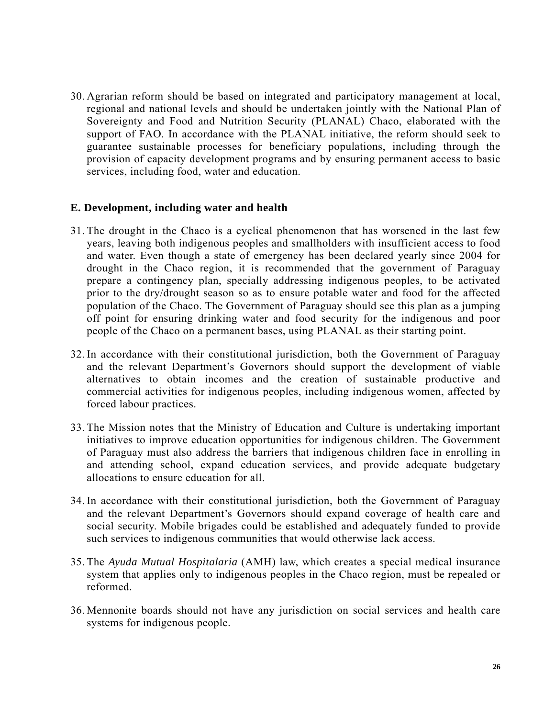30. Agrarian reform should be based on integrated and participatory management at local, regional and national levels and should be undertaken jointly with the National Plan of Sovereignty and Food and Nutrition Security (PLANAL) Chaco, elaborated with the support of FAO. In accordance with the PLANAL initiative, the reform should seek to guarantee sustainable processes for beneficiary populations, including through the provision of capacity development programs and by ensuring permanent access to basic services, including food, water and education.

### **E. Development, including water and health**

- 31. The drought in the Chaco is a cyclical phenomenon that has worsened in the last few years, leaving both indigenous peoples and smallholders with insufficient access to food and water. Even though a state of emergency has been declared yearly since 2004 for drought in the Chaco region, it is recommended that the government of Paraguay prepare a contingency plan, specially addressing indigenous peoples, to be activated prior to the dry/drought season so as to ensure potable water and food for the affected population of the Chaco. The Government of Paraguay should see this plan as a jumping off point for ensuring drinking water and food security for the indigenous and poor people of the Chaco on a permanent bases, using PLANAL as their starting point.
- 32. In accordance with their constitutional jurisdiction, both the Government of Paraguay and the relevant Department's Governors should support the development of viable alternatives to obtain incomes and the creation of sustainable productive and commercial activities for indigenous peoples, including indigenous women, affected by forced labour practices.
- 33. The Mission notes that the Ministry of Education and Culture is undertaking important initiatives to improve education opportunities for indigenous children. The Government of Paraguay must also address the barriers that indigenous children face in enrolling in and attending school, expand education services, and provide adequate budgetary allocations to ensure education for all.
- 34. In accordance with their constitutional jurisdiction, both the Government of Paraguay and the relevant Department's Governors should expand coverage of health care and social security. Mobile brigades could be established and adequately funded to provide such services to indigenous communities that would otherwise lack access.
- 35. The *Ayuda Mutual Hospitalaria* (AMH) law, which creates a special medical insurance system that applies only to indigenous peoples in the Chaco region, must be repealed or reformed.
- 36. Mennonite boards should not have any jurisdiction on social services and health care systems for indigenous people.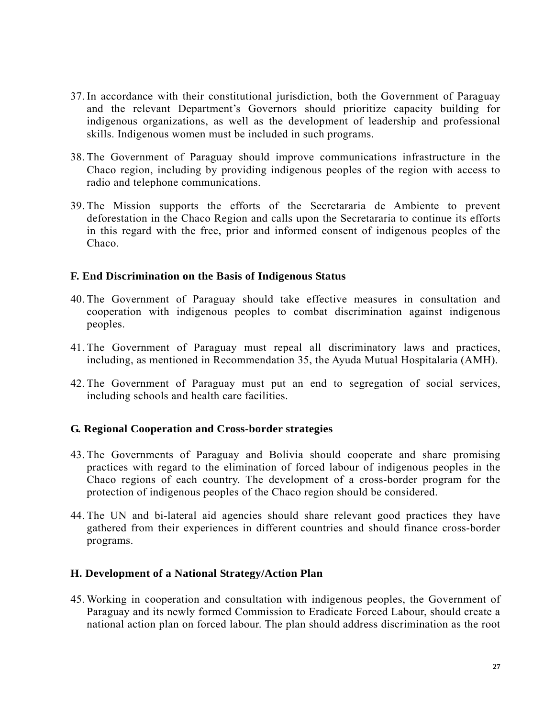- 37. In accordance with their constitutional jurisdiction, both the Government of Paraguay and the relevant Department's Governors should prioritize capacity building for indigenous organizations, as well as the development of leadership and professional skills. Indigenous women must be included in such programs.
- 38. The Government of Paraguay should improve communications infrastructure in the Chaco region, including by providing indigenous peoples of the region with access to radio and telephone communications.
- 39. The Mission supports the efforts of the Secretararia de Ambiente to prevent deforestation in the Chaco Region and calls upon the Secretararia to continue its efforts in this regard with the free, prior and informed consent of indigenous peoples of the Chaco.

### **F. End Discrimination on the Basis of Indigenous Status**

- 40. The Government of Paraguay should take effective measures in consultation and cooperation with indigenous peoples to combat discrimination against indigenous peoples.
- 41. The Government of Paraguay must repeal all discriminatory laws and practices, including, as mentioned in Recommendation 35, the Ayuda Mutual Hospitalaria (AMH).
- 42. The Government of Paraguay must put an end to segregation of social services, including schools and health care facilities.

# **G. Regional Cooperation and Cross-border strategies**

- 43. The Governments of Paraguay and Bolivia should cooperate and share promising practices with regard to the elimination of forced labour of indigenous peoples in the Chaco regions of each country. The development of a cross-border program for the protection of indigenous peoples of the Chaco region should be considered.
- 44. The UN and bi-lateral aid agencies should share relevant good practices they have gathered from their experiences in different countries and should finance cross-border programs.

### **H. Development of a National Strategy/Action Plan**

45. Working in cooperation and consultation with indigenous peoples, the Government of Paraguay and its newly formed Commission to Eradicate Forced Labour, should create a national action plan on forced labour. The plan should address discrimination as the root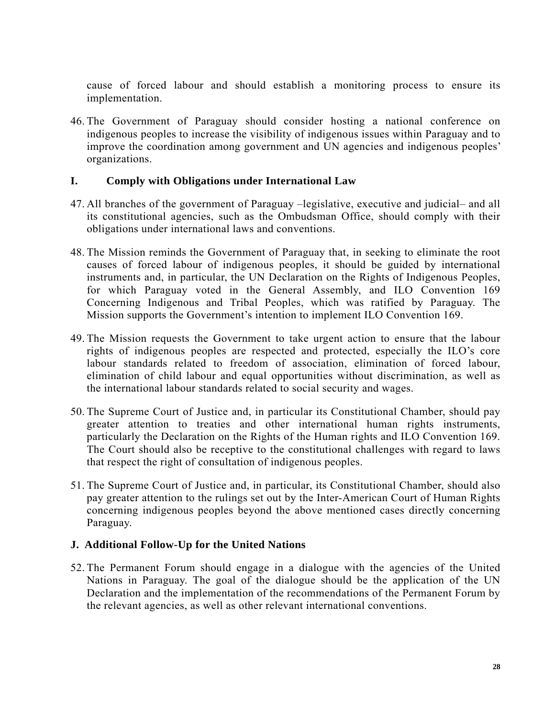cause of forced labour and should establish a monitoring process to ensure its implementation.

46. The Government of Paraguay should consider hosting a national conference on indigenous peoples to increase the visibility of indigenous issues within Paraguay and to improve the coordination among government and UN agencies and indigenous peoples' organizations.

### **I. Comply with Obligations under International Law**

- 47. All branches of the government of Paraguay –legislative, executive and judicial– and all its constitutional agencies, such as the Ombudsman Office, should comply with their obligations under international laws and conventions.
- 48. The Mission reminds the Government of Paraguay that, in seeking to eliminate the root causes of forced labour of indigenous peoples, it should be guided by international instruments and, in particular, the UN Declaration on the Rights of Indigenous Peoples, for which Paraguay voted in the General Assembly, and ILO Convention 169 Concerning Indigenous and Tribal Peoples, which was ratified by Paraguay. The Mission supports the Government's intention to implement ILO Convention 169.
- 49. The Mission requests the Government to take urgent action to ensure that the labour rights of indigenous peoples are respected and protected, especially the ILO's core labour standards related to freedom of association, elimination of forced labour, elimination of child labour and equal opportunities without discrimination, as well as the international labour standards related to social security and wages.
- 50. The Supreme Court of Justice and, in particular its Constitutional Chamber, should pay greater attention to treaties and other international human rights instruments, particularly the Declaration on the Rights of the Human rights and ILO Convention 169. The Court should also be receptive to the constitutional challenges with regard to laws that respect the right of consultation of indigenous peoples.
- 51. The Supreme Court of Justice and, in particular, its Constitutional Chamber, should also pay greater attention to the rulings set out by the Inter-American Court of Human Rights concerning indigenous peoples beyond the above mentioned cases directly concerning Paraguay.

# **J. Additional Follow-Up for the United Nations**

52. The Permanent Forum should engage in a dialogue with the agencies of the United Nations in Paraguay. The goal of the dialogue should be the application of the UN Declaration and the implementation of the recommendations of the Permanent Forum by the relevant agencies, as well as other relevant international conventions.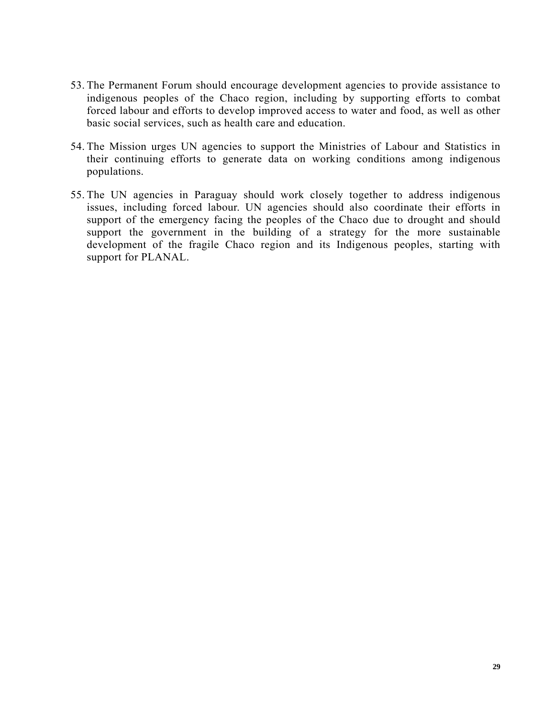- 53. The Permanent Forum should encourage development agencies to provide assistance to indigenous peoples of the Chaco region, including by supporting efforts to combat forced labour and efforts to develop improved access to water and food, as well as other basic social services, such as health care and education.
- 54. The Mission urges UN agencies to support the Ministries of Labour and Statistics in their continuing efforts to generate data on working conditions among indigenous populations.
- 55. The UN agencies in Paraguay should work closely together to address indigenous issues, including forced labour. UN agencies should also coordinate their efforts in support of the emergency facing the peoples of the Chaco due to drought and should support the government in the building of a strategy for the more sustainable development of the fragile Chaco region and its Indigenous peoples, starting with support for PLANAL.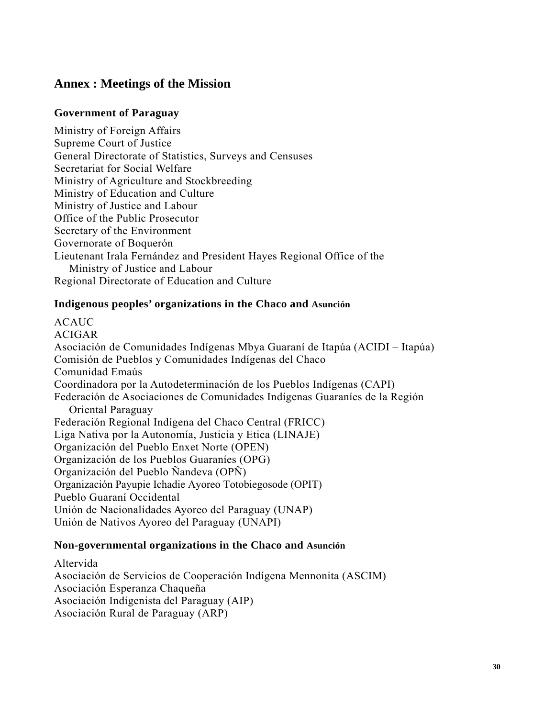# **Annex : Meetings of the Mission**

### **Government of Paraguay**

Ministry of Foreign Affairs Supreme Court of Justice General Directorate of Statistics, Surveys and Censuses Secretariat for Social Welfare Ministry of Agriculture and Stockbreeding Ministry of Education and Culture Ministry of Justice and Labour Office of the Public Prosecutor Secretary of the Environment Governorate of Boquerón Lieutenant Irala Fernández and President Hayes Regional Office of the Ministry of Justice and Labour Regional Directorate of Education and Culture

### **Indigenous peoples' organizations in the Chaco and Asunción**

ACAUC ACIGAR Asociación de Comunidades Indígenas Mbya Guaraní de Itapúa (ACIDI – Itapúa) Comisión de Pueblos y Comunidades Indígenas del Chaco Comunidad Emaús Coordinadora por la Autodeterminación de los Pueblos Indígenas (CAPI) Federación de Asociaciones de Comunidades Indígenas Guaraníes de la Región Oriental Paraguay Federación Regional Indígena del Chaco Central (FRICC) Liga Nativa por la Autonomía, Justicia y Etica (LINAJE) Organización del Pueblo Enxet Norte (OPEN) Organización de los Pueblos Guaraníes (OPG) Organización del Pueblo Ñandeva (OPÑ) Organización Payupie Ichadie Ayoreo Totobiegosode (OPIT) Pueblo Guaraní Occidental Unión de Nacionalidades Ayoreo del Paraguay (UNAP) Unión de Nativos Ayoreo del Paraguay (UNAPI)

### **Non-governmental organizations in the Chaco and Asunción**

Altervida Asociación de Servicios de Cooperación Indígena Mennonita (ASCIM) Asociación Esperanza Chaqueña Asociación Indigenista del Paraguay (AIP) Asociación Rural de Paraguay (ARP)